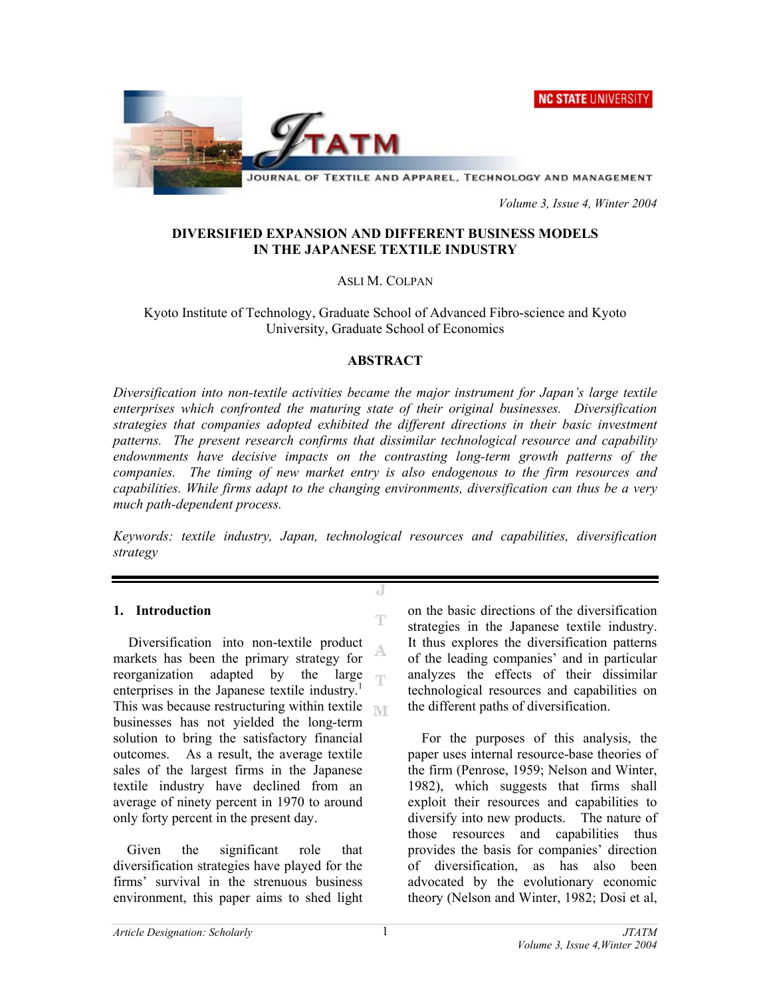NC STATE UNIVERSITY



 *Volume 3, Issue 4, Winter 2004* 

### **DIVERSIFIED EXPANSION AND DIFFERENT BUSINESS MODELS IN THE JAPANESE TEXTILE INDUSTRY**

### ASLI M. COLPAN

Kyoto Institute of Technology, Graduate School of Advanced Fibro-science and Kyoto University, Graduate School of Economics

#### **ABSTRACT**

*Diversification into non-textile activities became the major instrument for Japan's large textile enterprises which confronted the maturing state of their original businesses. Diversification strategies that companies adopted exhibited the different directions in their basic investment patterns. The present research confirms that dissimilar technological resource and capability endownments have decisive impacts on the contrasting long-term growth patterns of the companies. The timing of new market entry is also endogenous to the firm resources and capabilities. While firms adapt to the changing environments, diversification can thus be a very much path-dependent process.* 

*Keywords: textile industry, Japan, technological resources and capabilities, diversification strategy* 

J

T

#### **1. Introduction**

Diversification into non-textile product A. markets has been the primary strategy for reorganization adapted by the large ηñ enterprises in the Japanese textile industry.<sup>1</sup> This was because restructuring within textile  $\mathbb{R}$ businesses has not yielded the long-term solution to bring the satisfactory financial outcomes. As a result, the average textile sales of the largest firms in the Japanese textile industry have declined from an average of ninety percent in 1970 to around only forty percent in the present day.

Given the significant role that diversification strategies have played for the firms' survival in the strenuous business environment, this paper aims to shed light on the basic directions of the diversification strategies in the Japanese textile industry. It thus explores the diversification patterns of the leading companies' and in particular analyzes the effects of their dissimilar technological resources and capabilities on the different paths of diversification.

For the purposes of this analysis, the paper uses internal resource-base theories of the firm (Penrose, 1959; Nelson and Winter, 1982), which suggests that firms shall exploit their resources and capabilities to diversify into new products. The nature of those resources and capabilities thus provides the basis for companies' direction of diversification, as has also been advocated by the evolutionary economic theory (Nelson and Winter, 1982; Dosi et al,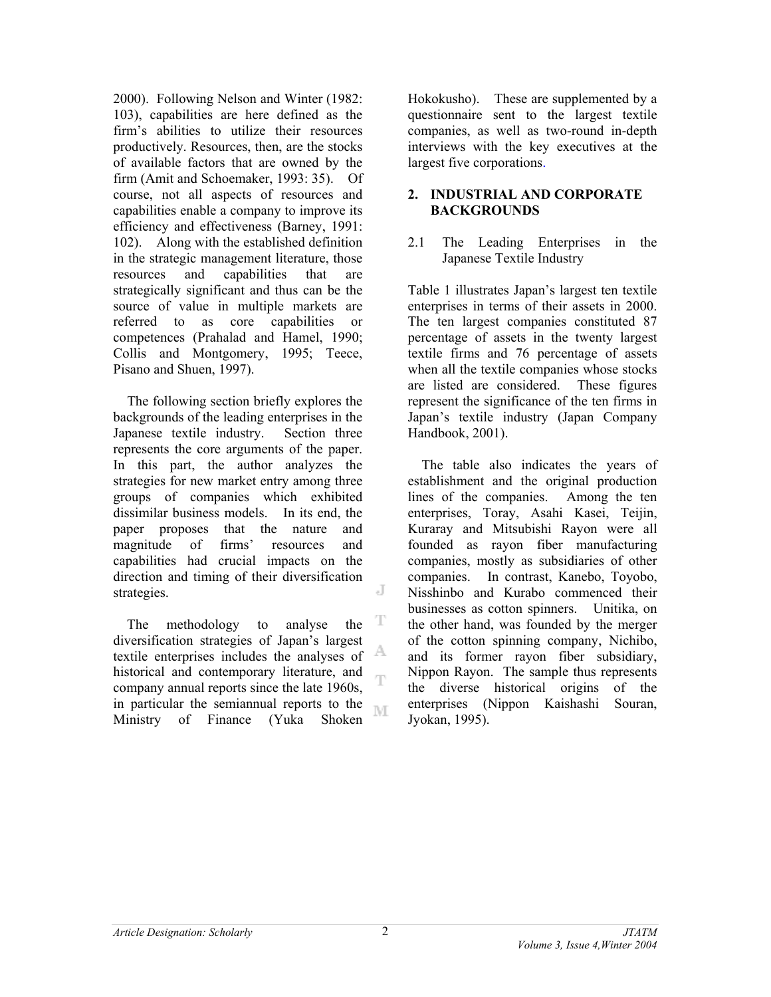2000). Following Nelson and Winter (1982: 103), capabilities are here defined as the firm's abilities to utilize their resources productively. Resources, then, are the stocks of available factors that are owned by the firm (Amit and Schoemaker, 1993: 35). Of course, not all aspects of resources and capabilities enable a company to improve its efficiency and effectiveness (Barney, 1991: 102). Along with the established definition in the strategic management literature, those resources and capabilities that are strategically significant and thus can be the source of value in multiple markets are referred to as core capabilities or competences (Prahalad and Hamel, 1990; Collis and Montgomery, 1995; Teece, Pisano and Shuen, 1997).

The following section briefly explores the backgrounds of the leading enterprises in the Japanese textile industry. Section three represents the core arguments of the paper. In this part, the author analyzes the strategies for new market entry among three groups of companies which exhibited dissimilar business models. In its end, the paper proposes that the nature and magnitude of firms' resources and capabilities had crucial impacts on the direction and timing of their diversification J strategies.

T The methodology to analyse the diversification strategies of Japan's largest A textile enterprises includes the analyses of historical and contemporary literature, and ηn company annual reports since the late 1960s, in particular the semiannual reports to the ľΜ Ministry of Finance (Yuka Shoken

Hokokusho). These are supplemented by a questionnaire sent to the largest textile companies, as well as two-round in-depth interviews with the key executives at the largest five corporations.

## **2. INDUSTRIAL AND CORPORATE BACKGROUNDS**

### 2.1 The Leading Enterprises in the Japanese Textile Industry

Table 1 illustrates Japan's largest ten textile enterprises in terms of their assets in 2000. The ten largest companies constituted 87 percentage of assets in the twenty largest textile firms and 76 percentage of assets when all the textile companies whose stocks are listed are considered. These figures represent the significance of the ten firms in Japan's textile industry (Japan Company Handbook, 2001).

The table also indicates the years of establishment and the original production lines of the companies. Among the ten enterprises, Toray, Asahi Kasei, Teijin, Kuraray and Mitsubishi Rayon were all founded as rayon fiber manufacturing companies, mostly as subsidiaries of other companies. In contrast, Kanebo, Toyobo, Nisshinbo and Kurabo commenced their businesses as cotton spinners. Unitika, on the other hand, was founded by the merger of the cotton spinning company, Nichibo, and its former rayon fiber subsidiary, Nippon Rayon. The sample thus represents the diverse historical origins of the enterprises (Nippon Kaishashi Souran, Jyokan, 1995).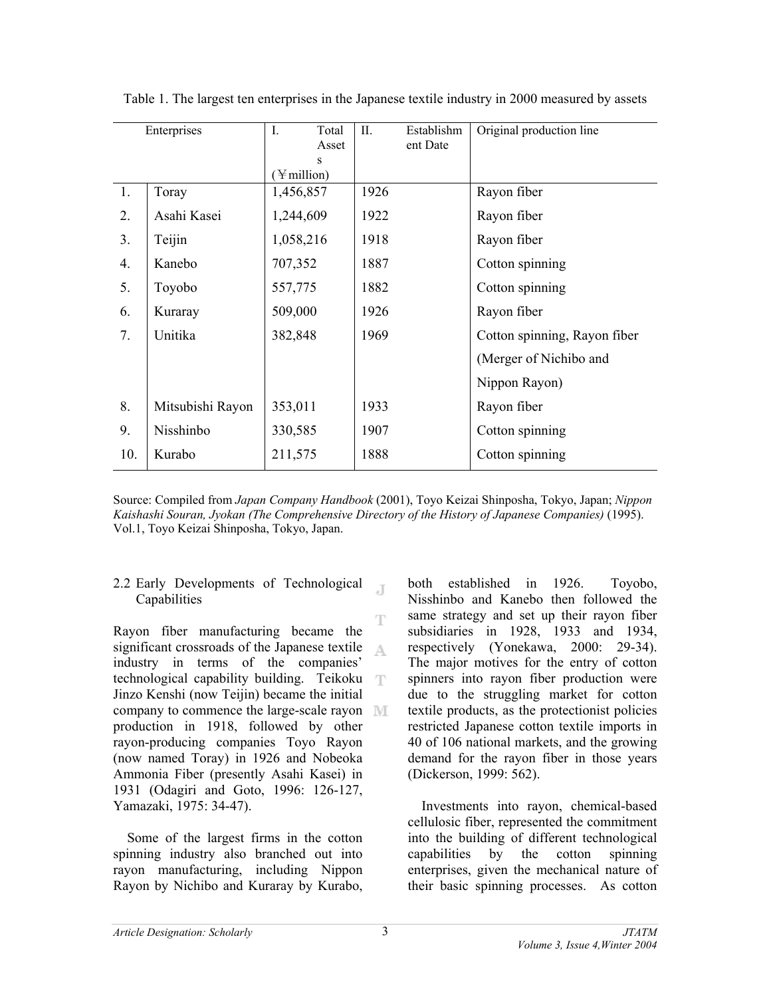| Enterprises      |                  | $\mathbf{I}$ .               | Total<br>Asset | II.  | Establishm<br>ent Date | Original production line     |  |  |  |
|------------------|------------------|------------------------------|----------------|------|------------------------|------------------------------|--|--|--|
|                  |                  | S<br>$(\frac{1}{2})$ million |                |      |                        |                              |  |  |  |
| $\overline{1}$ . | Toray            | 1,456,857                    |                | 1926 |                        | Rayon fiber                  |  |  |  |
| 2.               | Asahi Kasei      | 1,244,609                    |                | 1922 |                        | Rayon fiber                  |  |  |  |
| 3 <sub>1</sub>   | Teijin           | 1,058,216                    |                | 1918 |                        | Rayon fiber                  |  |  |  |
| 4.               | Kanebo           | 707,352                      |                | 1887 |                        | Cotton spinning              |  |  |  |
| 5.               | Toyobo           | 557,775                      |                | 1882 |                        | Cotton spinning              |  |  |  |
| 6.               | Kuraray          | 509,000                      |                | 1926 |                        | Rayon fiber                  |  |  |  |
| 7.               | Unitika          | 382,848                      |                | 1969 |                        | Cotton spinning, Rayon fiber |  |  |  |
|                  |                  |                              |                |      |                        | (Merger of Nichibo and       |  |  |  |
|                  |                  |                              |                |      |                        | Nippon Rayon)                |  |  |  |
| 8.               | Mitsubishi Rayon | 353,011                      |                | 1933 |                        | Rayon fiber                  |  |  |  |
| 9.               | Nisshinbo        | 330,585                      |                | 1907 |                        | Cotton spinning              |  |  |  |
| 10.              | Kurabo           | 211,575                      |                | 1888 |                        | Cotton spinning              |  |  |  |

Table 1. The largest ten enterprises in the Japanese textile industry in 2000 measured by assets

Source: Compiled from *Japan Company Handbook* (2001), Toyo Keizai Shinposha, Tokyo, Japan; *Nippon Kaishashi Souran, Jyokan (The Comprehensive Directory of the History of Japanese Companies)* (1995). Vol.1, Toyo Keizai Shinposha, Tokyo, Japan.

.T

### 2.2 Early Developments of Technological **Capabilities**

T Rayon fiber manufacturing became the significant crossroads of the Japanese textile  $\Delta_{\rm L}$ industry in terms of the companies' technological capability building. Teikoku Jinzo Kenshi (now Teijin) became the initial company to commence the large-scale rayon II production in 1918, followed by other rayon-producing companies Toyo Rayon (now named Toray) in 1926 and Nobeoka Ammonia Fiber (presently Asahi Kasei) in 1931 (Odagiri and Goto, 1996: 126-127, Yamazaki, 1975: 34-47).

Some of the largest firms in the cotton spinning industry also branched out into rayon manufacturing, including Nippon Rayon by Nichibo and Kuraray by Kurabo, both established in 1926. Toyobo, Nisshinbo and Kanebo then followed the same strategy and set up their rayon fiber subsidiaries in 1928, 1933 and 1934, respectively (Yonekawa, 2000: 29-34). The major motives for the entry of cotton spinners into rayon fiber production were due to the struggling market for cotton textile products, as the protectionist policies restricted Japanese cotton textile imports in 40 of 106 national markets, and the growing demand for the rayon fiber in those years (Dickerson, 1999: 562).

Investments into rayon, chemical-based cellulosic fiber, represented the commitment into the building of different technological capabilities by the cotton spinning enterprises, given the mechanical nature of their basic spinning processes. As cotton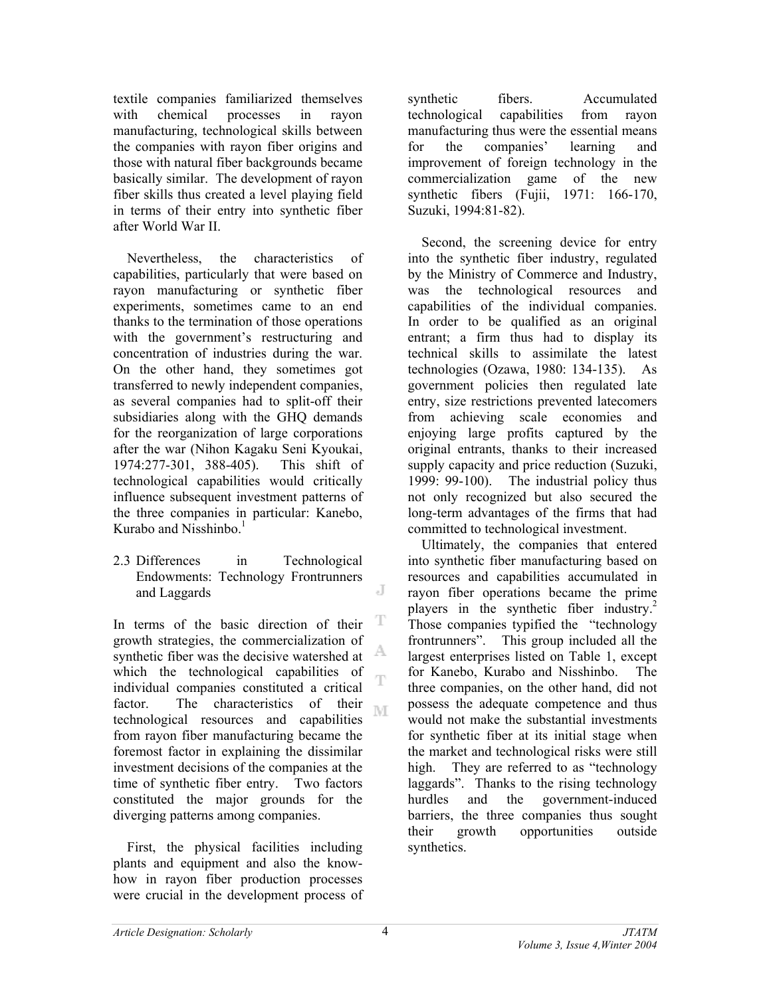textile companies familiarized themselves with chemical processes in rayon manufacturing, technological skills between the companies with rayon fiber origins and those with natural fiber backgrounds became basically similar. The development of rayon fiber skills thus created a level playing field in terms of their entry into synthetic fiber after World War II.

Nevertheless, the characteristics of capabilities, particularly that were based on rayon manufacturing or synthetic fiber experiments, sometimes came to an end thanks to the termination of those operations with the government's restructuring and concentration of industries during the war. On the other hand, they sometimes got transferred to newly independent companies, as several companies had to split-off their subsidiaries along with the GHO demands for the reorganization of large corporations after the war (Nihon Kagaku Seni Kyoukai, 1974:277-301, 388-405). This shift of technological capabilities would critically influence subsequent investment patterns of the three companies in particular: Kanebo, Kurabo and Nisshinbo $<sup>1</sup>$ </sup>

2.3 Differences in Technological Endowments: Technology Frontrunners and Laggards

T In terms of the basic direction of their growth strategies, the commercialization of A synthetic fiber was the decisive watershed at which the technological capabilities of Ŧ individual companies constituted a critical factor. The characteristics of their M technological resources and capabilities from rayon fiber manufacturing became the foremost factor in explaining the dissimilar investment decisions of the companies at the time of synthetic fiber entry. Two factors constituted the major grounds for the diverging patterns among companies.

First, the physical facilities including plants and equipment and also the knowhow in rayon fiber production processes were crucial in the development process of synthetic fibers. Accumulated technological capabilities from rayon manufacturing thus were the essential means for the companies' learning and improvement of foreign technology in the commercialization game of the new synthetic fibers (Fujii, 1971: 166-170, Suzuki, 1994:81-82).

Second, the screening device for entry into the synthetic fiber industry, regulated by the Ministry of Commerce and Industry, was the technological resources and capabilities of the individual companies. In order to be qualified as an original entrant; a firm thus had to display its technical skills to assimilate the latest technologies (Ozawa, 1980: 134-135). As government policies then regulated late entry, size restrictions prevented latecomers from achieving scale economies and enjoying large profits captured by the original entrants, thanks to their increased supply capacity and price reduction (Suzuki, 1999: 99-100). The industrial policy thus not only recognized but also secured the long-term advantages of the firms that had committed to technological investment.

Ultimately, the companies that entered into synthetic fiber manufacturing based on resources and capabilities accumulated in rayon fiber operations became the prime players in the synthetic fiber industry.<sup>2</sup> Those companies typified the "technology frontrunners". This group included all the largest enterprises listed on Table 1, except for Kanebo, Kurabo and Nisshinbo. The three companies, on the other hand, did not possess the adequate competence and thus would not make the substantial investments for synthetic fiber at its initial stage when the market and technological risks were still high. They are referred to as "technology" laggards". Thanks to the rising technology hurdles and the government-induced barriers, the three companies thus sought their growth opportunities outside synthetics.

J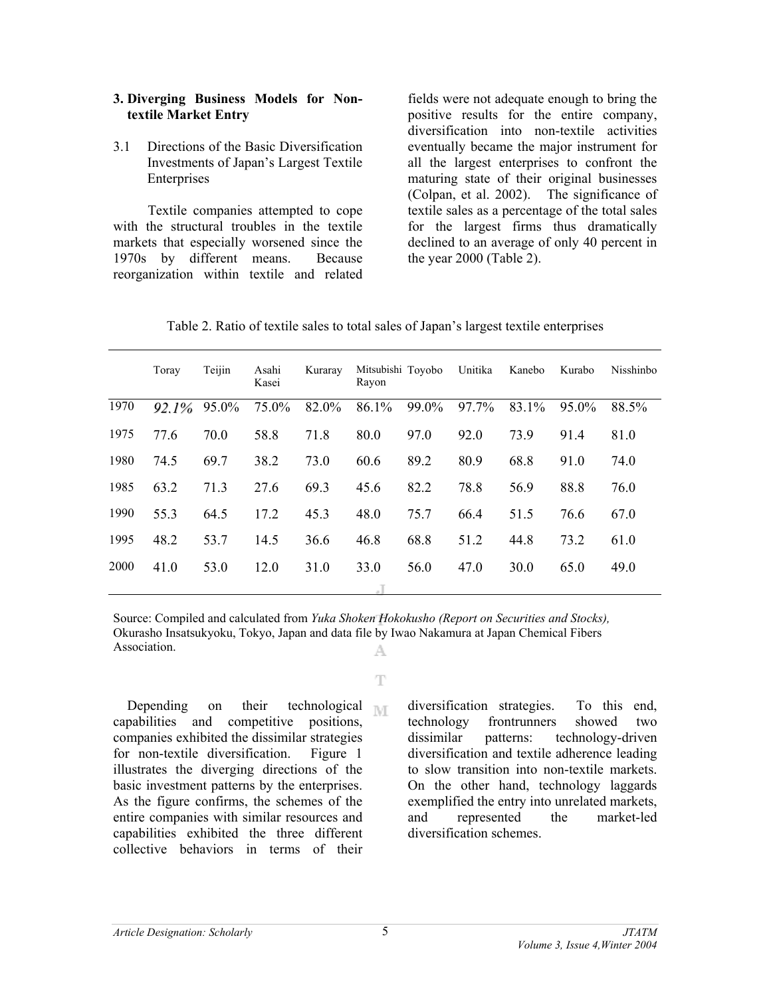#### **3. Diverging Business Models for Nontextile Market Entry**

3.1 Directions of the Basic Diversification Investments of Japan's Largest Textile Enterprises

Textile companies attempted to cope with the structural troubles in the textile markets that especially worsened since the 1970s by different means. Because reorganization within textile and related fields were not adequate enough to bring the positive results for the entire company, diversification into non-textile activities eventually became the major instrument for all the largest enterprises to confront the maturing state of their original businesses (Colpan, et al. 2002). The significance of textile sales as a percentage of the total sales for the largest firms thus dramatically declined to an average of only 40 percent in the year 2000 (Table 2).

| Table 2. Ratio of textile sales to total sales of Japan's largest textile enterprises |  |  |
|---------------------------------------------------------------------------------------|--|--|
|                                                                                       |  |  |

|      | Toray    | Teijin | Asahi<br>Kasei | Kuraray | Mitsubishi Toyobo<br>Rayon |       | Unitika | Kanebo | Kurabo   | Nisshinbo |  |
|------|----------|--------|----------------|---------|----------------------------|-------|---------|--------|----------|-----------|--|
| 1970 | $92.1\%$ | 95.0%  | 75.0%          | 82.0%   | 86.1%                      | 99.0% | 97.7%   | 83.1%  | $95.0\%$ | 88.5%     |  |
| 1975 | 77.6     | 70.0   | 58.8           | 71.8    | 80.0                       | 97.0  | 92.0    | 73.9   | 91.4     | 81.0      |  |
| 1980 | 74.5     | 69.7   | 38.2           | 73.0    | 60.6                       | 89.2  | 80.9    | 68.8   | 91.0     | 74.0      |  |
| 1985 | 63.2     | 71.3   | 27.6           | 69.3    | 45.6                       | 82.2  | 78.8    | 56.9   | 88.8     | 76.0      |  |
| 1990 | 55.3     | 64.5   | 17.2           | 45.3    | 48.0                       | 75.7  | 66.4    | 51.5   | 76.6     | 67.0      |  |
| 1995 | 48.2     | 53.7   | 14.5           | 36.6    | 46.8                       | 68.8  | 51.2    | 44.8   | 73.2     | 61.0      |  |
| 2000 | 41.0     | 53.0   | 12.0           | 31.0    | 33.0                       | 56.0  | 47.0    | 30.0   | 65.0     | 49.0      |  |
|      |          |        |                |         | $\Box$                     |       |         |        |          |           |  |

Source: Compiled and calculated from *Yuka Shoken Hokokusho (Report on Securities and Stocks),* Okurasho Insatsukyoku, Tokyo, Japan and data file by Iwao Nakamura at Japan Chemical Fibers Association. A

Ŧ

Depending on their technological  $\mathbb{N}$ capabilities and competitive positions, companies exhibited the dissimilar strategies for non-textile diversification. Figure 1 illustrates the diverging directions of the basic investment patterns by the enterprises. As the figure confirms, the schemes of the entire companies with similar resources and capabilities exhibited the three different collective behaviors in terms of their

diversification strategies. To this end, technology frontrunners showed two dissimilar patterns: technology-driven diversification and textile adherence leading to slow transition into non-textile markets. On the other hand, technology laggards exemplified the entry into unrelated markets, and represented the market-led diversification schemes.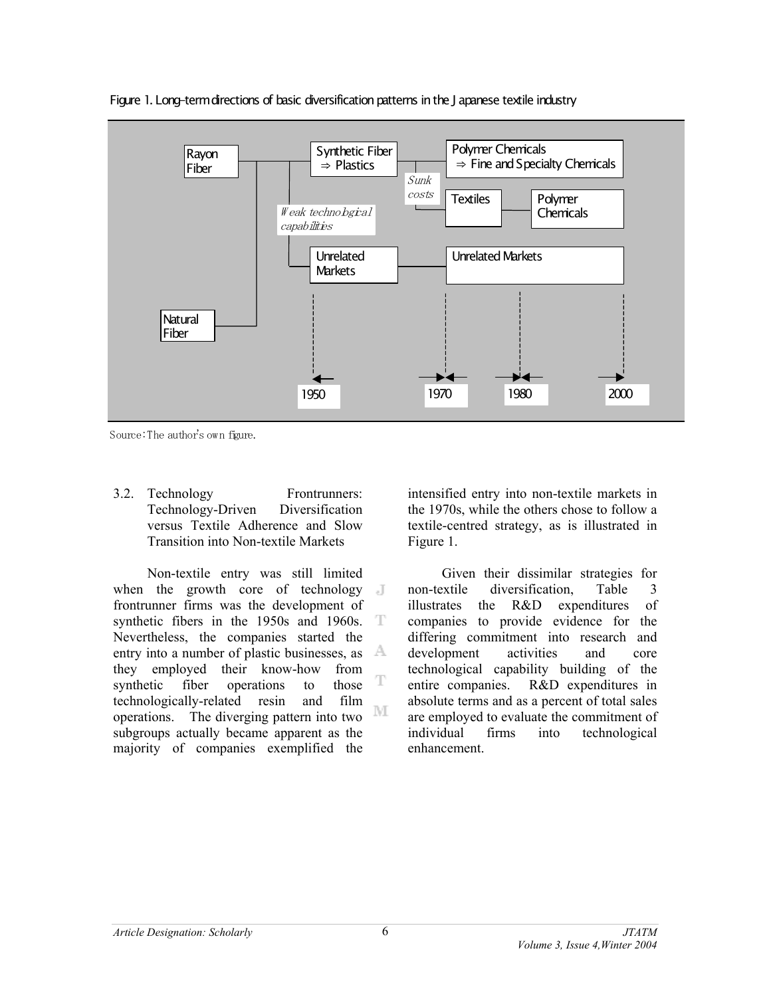

Figure 1. Long-term directions of basic diversification patterns in the J apanese textile industry

Source: The author's own figure.

3.2. Technology Frontrunners: Technology-Driven Diversification versus Textile Adherence and Slow Transition into Non-textile Markets

Non-textile entry was still limited when the growth core of technology  $\blacksquare$ frontrunner firms was the development of synthetic fibers in the 1950s and 1960s. T Nevertheless, the companies started the entry into a number of plastic businesses, as  $\mathbb{A}$ they employed their know-how from  $\mathbb T$ synthetic fiber operations to those technologically-related resin and film М operations. The diverging pattern into two subgroups actually became apparent as the majority of companies exemplified the

intensified entry into non-textile markets in the 1970s, while the others chose to follow a textile-centred strategy, as is illustrated in Figure 1.

Given their dissimilar strategies for non-textile diversification, Table 3 illustrates the R&D expenditures of companies to provide evidence for the differing commitment into research and development activities and core technological capability building of the entire companies. R&D expenditures in absolute terms and as a percent of total sales are employed to evaluate the commitment of individual firms into technological enhancement.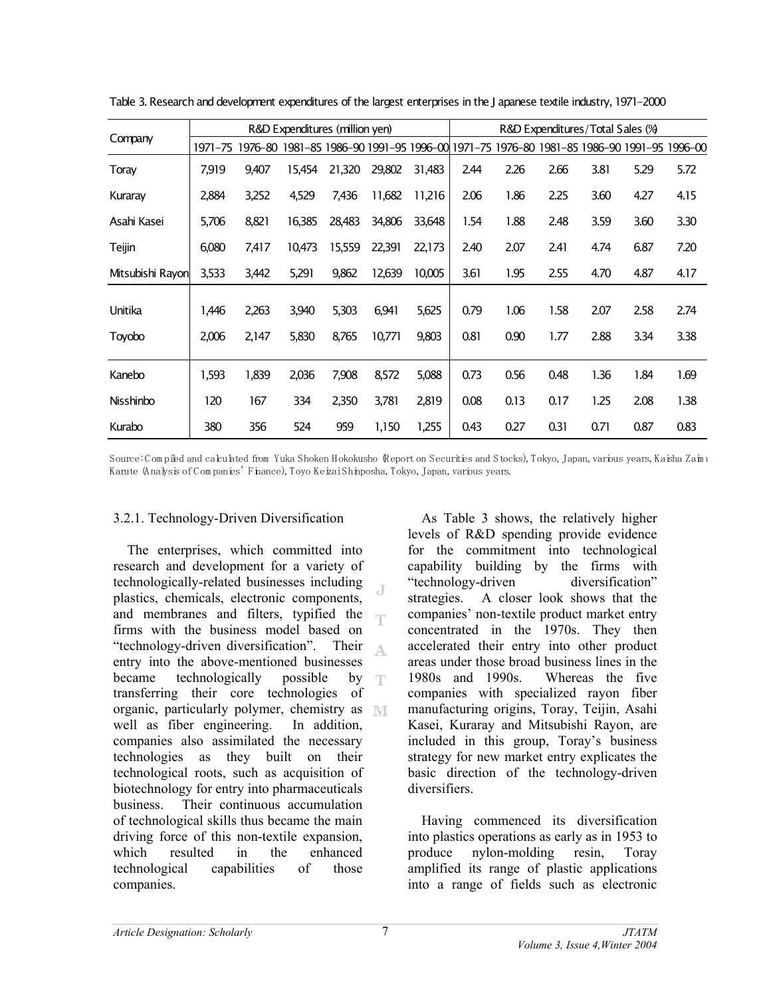|                  | R&D Expenditures (million yen) |         |                                 |        |        |        |         | R&D Expenditures/Total Sales (%)        |      |      |      |      |  |
|------------------|--------------------------------|---------|---------------------------------|--------|--------|--------|---------|-----------------------------------------|------|------|------|------|--|
| Company          | 1971–75                        | 1976–80 | 1981-85 1986-90 1991-95 1996-00 |        |        |        | 1971-75 | 1976-80 1981-85 1986-90 1991-95 1996-00 |      |      |      |      |  |
| Toray            | 7,919                          | 9,407   | 15,454                          | 21,320 | 29,802 | 31,483 | 2.44    | 2.26                                    | 2.66 | 3.81 | 5.29 | 5.72 |  |
| Kuraray          | 2,884                          | 3,252   | 4,529                           | 7,436  | 11,682 | 11,216 | 2.06    | 1.86                                    | 2.25 | 3.60 | 4.27 | 4.15 |  |
| Asahi Kasei      | 5,706                          | 8,821   | 16,385                          | 28,483 | 34,806 | 33,648 | 1.54    | 1.88                                    | 2.48 | 3.59 | 3.60 | 3.30 |  |
| Teijin           | 6,080                          | 7,417   | 10,473                          | 15,559 | 22,391 | 22,173 | 2.40    | 2.07                                    | 2.41 | 4.74 | 6.87 | 7.20 |  |
| Mitsubishi Rayon | 3,533                          | 3,442   | 5,291                           | 9,862  | 12,639 | 10,005 | 3.61    | 1.95                                    | 2.55 | 4.70 | 4.87 | 4.17 |  |
| Unitika          | 1,446                          | 2,263   | 3,940                           | 5,303  | 6,941  | 5,625  | 0.79    | 1.06                                    | 1.58 | 2.07 | 2.58 | 2.74 |  |
| Toyobo           | 2,006                          | 2,147   | 5,830                           | 8,765  | 10,771 | 9,803  | 0.81    | 0.90                                    | 1.77 | 2.88 | 3.34 | 3.38 |  |
| Kanebo           | 1,593                          | 1,839   | 2,036                           | 7,908  | 8,572  | 5,088  | 0.73    | 0.56                                    | 0.48 | 1.36 | 1.84 | 1.69 |  |
| Nisshinbo        | 120                            | 167     | 334                             | 2,350  | 3,781  | 2,819  | 0.08    | 0.13                                    | 0.17 | 1.25 | 2.08 | 1.38 |  |
| Kurabo           | 380                            | 356     | 524                             | 959    | 1,150  | 1,255  | 0.43    | 0.27                                    | 0.31 | 0.71 | 0.87 | 0.83 |  |

Table 3. Research and development expenditures of the largest enterprises in the J apanese textile industry, 1971-2000

Source: Compiled and calculated from Yuka Shoken Hokokusho (Report on Securities and Stocks), Tokyo, Japan, various years, Kaisha Zaim u Karute (Analysis of Companies' Finance), Toyo Keizai Shinposha, Tokyo, Japan, various years.

#### 3.2.1. Technology-Driven Diversification

The enterprises, which committed into research and development for a variety of technologically-related businesses including Æ plastics, chemicals, electronic components, and membranes and filters, typified the firms with the business model based on "technology-driven diversification". Their A. entry into the above-mentioned businesses became technologically possible by  $\mathcal{F}[\Gamma]$ transferring their core technologies of organic, particularly polymer, chemistry as well as fiber engineering. In addition, companies also assimilated the necessary technologies as they built on their technological roots, such as acquisition of biotechnology for entry into pharmaceuticals business. Their continuous accumulation of technological skills thus became the main driving force of this non-textile expansion, which resulted in the enhanced technological capabilities of those companies.

As Table 3 shows, the relatively higher levels of R&D spending provide evidence for the commitment into technological capability building by the firms with "technology-driven diversification" strategies. A closer look shows that the companies' non-textile product market entry concentrated in the 1970s. They then accelerated their entry into other product areas under those broad business lines in the 1980s and 1990s. Whereas the five companies with specialized rayon fiber manufacturing origins, Toray, Teijin, Asahi Kasei, Kuraray and Mitsubishi Rayon, are included in this group, Toray's business strategy for new market entry explicates the basic direction of the technology-driven diversifiers.

Having commenced its diversification into plastics operations as early as in 1953 to produce nylon-molding resin, Toray amplified its range of plastic applications into a range of fields such as electronic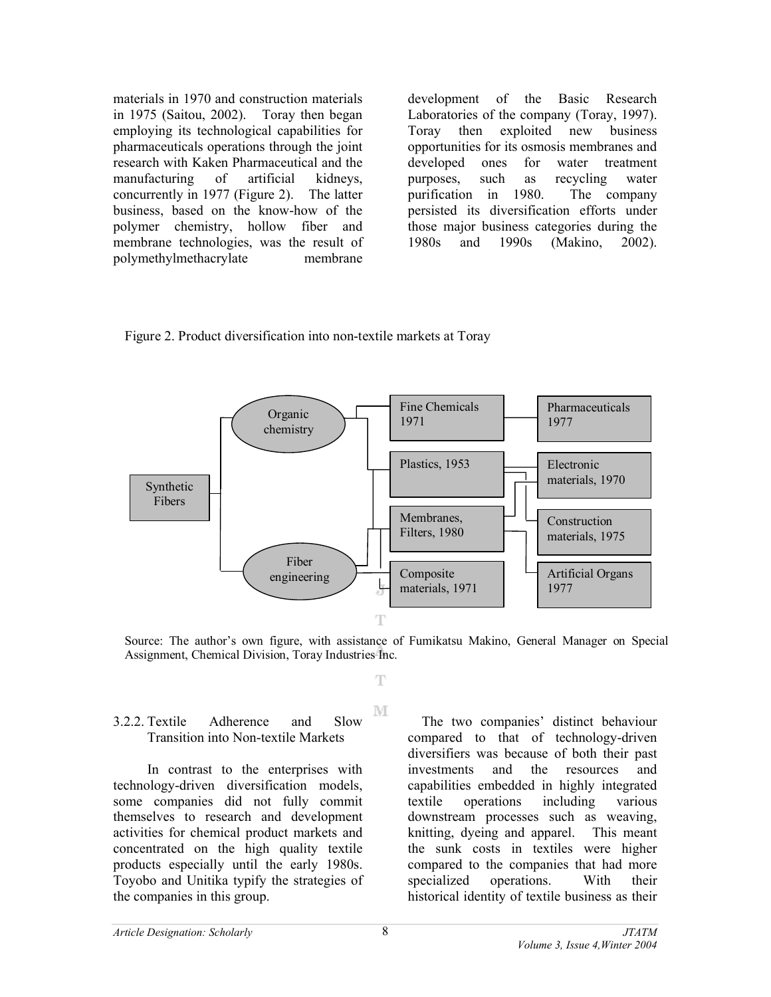materials in 1970 and construction materials in 1975 (Saitou, 2002). Toray then began employing its technological capabilities for pharmaceuticals operations through the joint research with Kaken Pharmaceutical and the manufacturing of artificial kidneys, concurrently in 1977 (Figure 2). The latter business, based on the know-how of the polymer chemistry, hollow fiber and membrane technologies, was the result of polymethylmethacrylate membrane

development of the Basic Research Laboratories of the company (Toray, 1997). Toray then exploited new business opportunities for its osmosis membranes and developed ones for water treatment purposes, such as recycling water purification in 1980. The company persisted its diversification efforts under those major business categories during the 1980s and 1990s (Makino, 2002).





Source: The author's own figure, with assistance of Fumikatsu Makino, General Manager on Special Assignment, Chemical Division, Toray Industries Inc.

Ŧ

M

### 3.2.2. Textile Adherence and Slow Transition into Non-textile Markets

In contrast to the enterprises with technology-driven diversification models, some companies did not fully commit themselves to research and development activities for chemical product markets and concentrated on the high quality textile products especially until the early 1980s. Toyobo and Unitika typify the strategies of the companies in this group.

 The two companies' distinct behaviour compared to that of technology-driven diversifiers was because of both their past investments and the resources and capabilities embedded in highly integrated textile operations including various downstream processes such as weaving, knitting, dyeing and apparel. This meant the sunk costs in textiles were higher compared to the companies that had more specialized operations. With their historical identity of textile business as their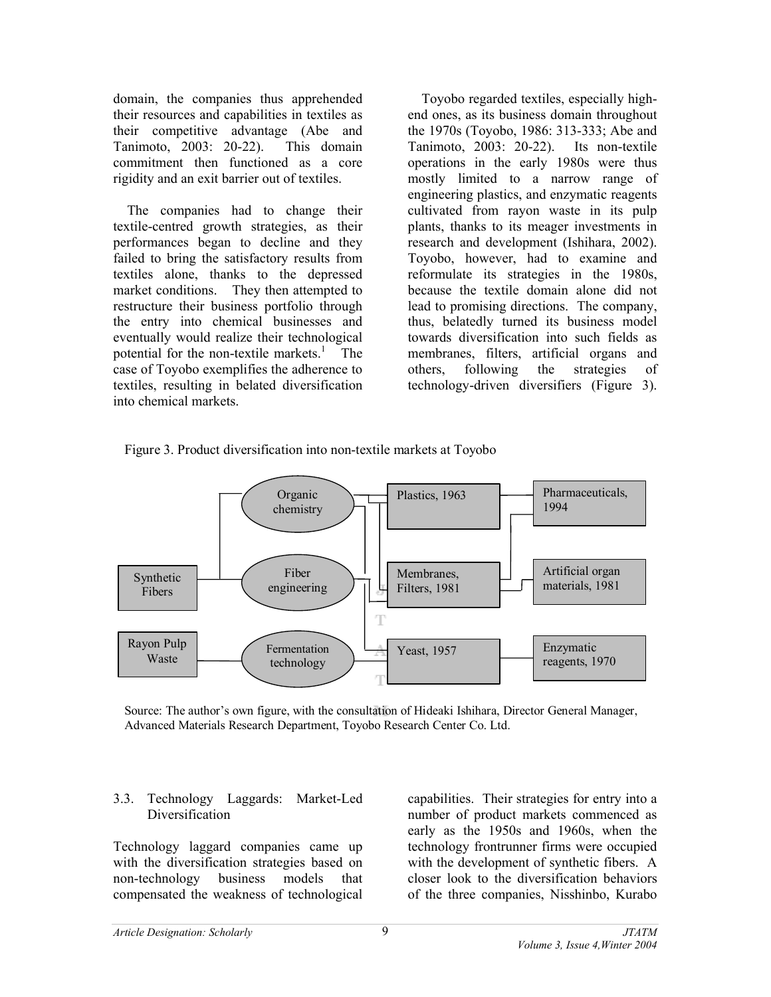domain, the companies thus apprehended their resources and capabilities in textiles as their competitive advantage (Abe and Tanimoto, 2003: 20-22). This domain commitment then functioned as a core rigidity and an exit barrier out of textiles.

The companies had to change their textile-centred growth strategies, as their performances began to decline and they failed to bring the satisfactory results from textiles alone, thanks to the depressed market conditions. They then attempted to restructure their business portfolio through the entry into chemical businesses and eventually would realize their technological potential for the non-textile markets.<sup>1</sup> The case of Toyobo exemplifies the adherence to textiles, resulting in belated diversification into chemical markets.

Toyobo regarded textiles, especially highend ones, as its business domain throughout the 1970s (Toyobo, 1986: 313-333; Abe and Tanimoto, 2003: 20-22). Its non-textile operations in the early 1980s were thus mostly limited to a narrow range of engineering plastics, and enzymatic reagents cultivated from rayon waste in its pulp plants, thanks to its meager investments in research and development (Ishihara, 2002). Toyobo, however, had to examine and reformulate its strategies in the 1980s, because the textile domain alone did not lead to promising directions. The company, thus, belatedly turned its business model towards diversification into such fields as membranes, filters, artificial organs and others, following the strategies of technology-driven diversifiers (Figure 3).





Source: The author's own figure, with the consultation of Hideaki Ishihara, Director General Manager, Advanced Materials Research Department, Toyobo Research Center Co. Ltd.

## 3.3. Technology Laggards: Market-Led Diversification

Technology laggard companies came up with the diversification strategies based on non-technology business models that compensated the weakness of technological

capabilities. Their strategies for entry into a number of product markets commenced as early as the 1950s and 1960s, when the technology frontrunner firms were occupied with the development of synthetic fibers. A closer look to the diversification behaviors of the three companies, Nisshinbo, Kurabo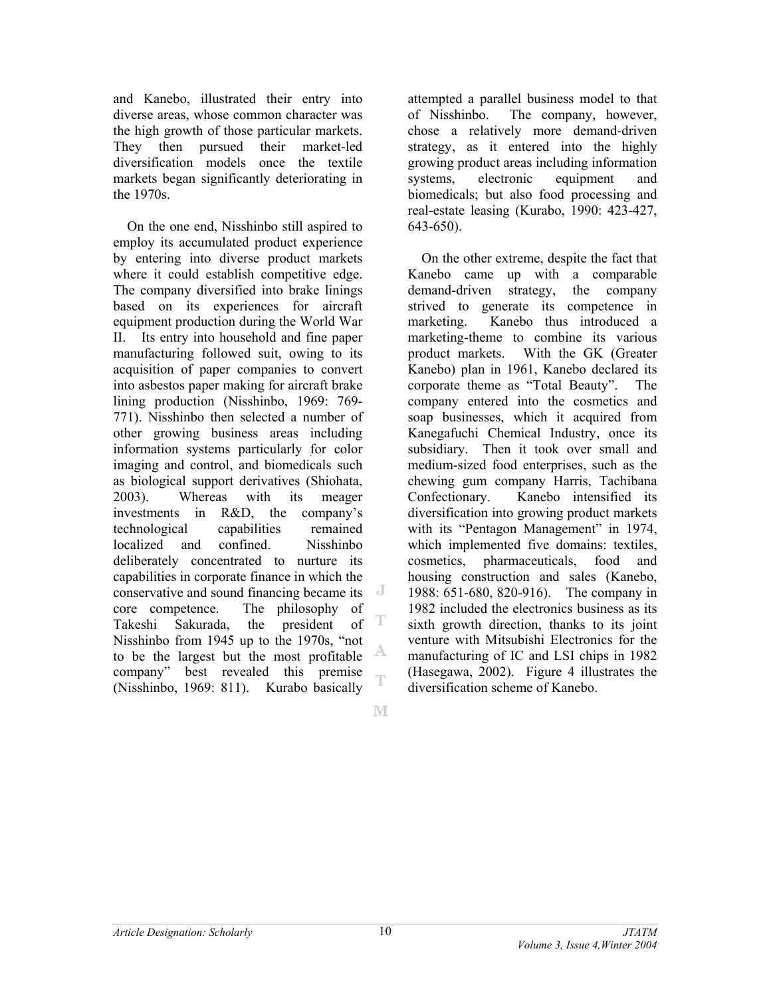and Kanebo, illustrated their entry into diverse areas, whose common character was the high growth of those particular markets. They then pursued their market-led diversification models once the textile markets began significantly deteriorating in the 1970s.

On the one end, Nisshinbo still aspired to employ its accumulated product experience by entering into diverse product markets where it could establish competitive edge. The company diversified into brake linings based on its experiences for aircraft equipment production during the World War II. Its entry into household and fine paper manufacturing followed suit, owing to its acquisition of paper companies to convert into asbestos paper making for aircraft brake lining production (Nisshinbo, 1969: 769- 771). Nisshinbo then selected a number of other growing business areas including information systems particularly for color imaging and control, and biomedicals such as biological support derivatives (Shiohata, 2003). Whereas with its meager investments in R&D, the company's technological capabilities remained localized and confined. Nisshinbo deliberately concentrated to nurture its capabilities in corporate finance in which the conservative and sound financing became its core competence. The philosophy of T Takeshi Sakurada, the president of Nisshinbo from 1945 up to the 1970s, "not A to be the largest but the most profitable company" best revealed this premise Ŧ (Nisshinbo, 1969: 811). Kurabo basically

attempted a parallel business model to that of Nisshinbo. The company, however, chose a relatively more demand-driven strategy, as it entered into the highly growing product areas including information systems, electronic equipment and biomedicals; but also food processing and real-estate leasing (Kurabo, 1990: 423-427, 643-650).

On the other extreme, despite the fact that Kanebo came up with a comparable demand-driven strategy, the company strived to generate its competence in marketing. Kanebo thus introduced a marketing-theme to combine its various product markets. With the GK (Greater Kanebo) plan in 1961, Kanebo declared its corporate theme as "Total Beauty". The company entered into the cosmetics and soap businesses, which it acquired from Kanegafuchi Chemical Industry, once its subsidiary. Then it took over small and medium-sized food enterprises, such as the chewing gum company Harris, Tachibana Confectionary. Kanebo intensified its diversification into growing product markets with its "Pentagon Management" in 1974. which implemented five domains: textiles, cosmetics, pharmaceuticals, food and housing construction and sales (Kanebo, 1988: 651-680, 820-916). The company in 1982 included the electronics business as its sixth growth direction, thanks to its joint venture with Mitsubishi Electronics for the manufacturing of IC and LSI chips in 1982 (Hasegawa, 2002). Figure 4 illustrates the diversification scheme of Kanebo.

M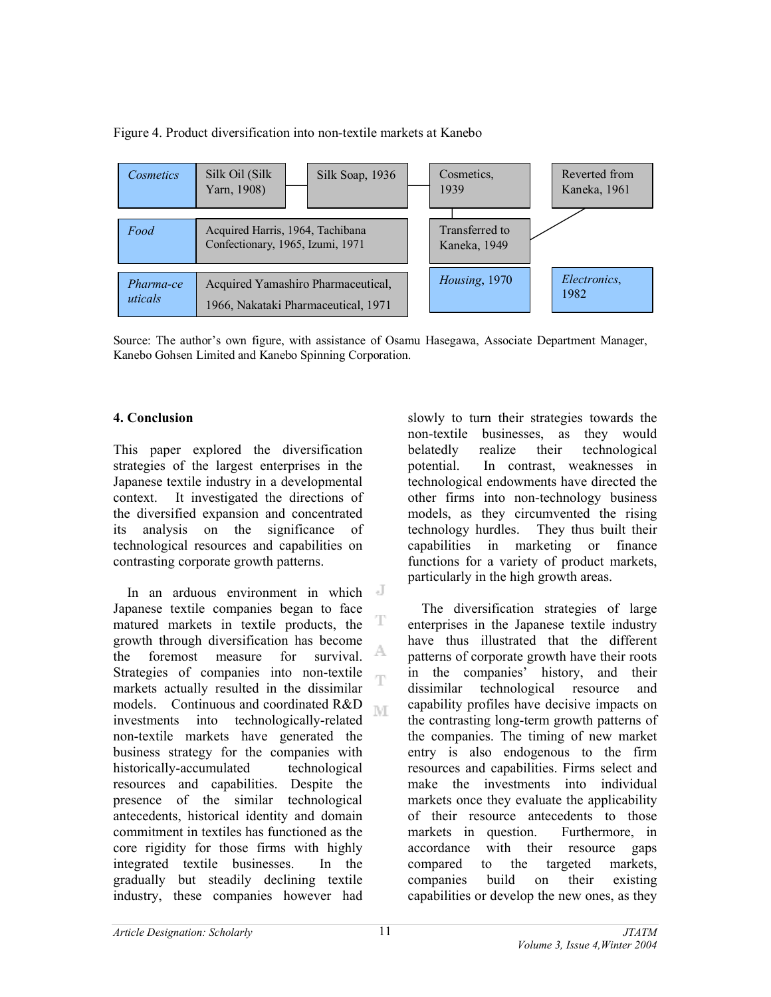Figure 4. Product diversification into non-textile markets at Kanebo



Source: The author's own figure, with assistance of Osamu Hasegawa, Associate Department Manager, Kanebo Gohsen Limited and Kanebo Spinning Corporation.

## **4. Conclusion**

This paper explored the diversification strategies of the largest enterprises in the Japanese textile industry in a developmental context. It investigated the directions of the diversified expansion and concentrated its analysis on the significance of technological resources and capabilities on contrasting corporate growth patterns.

J In an arduous environment in which Japanese textile companies began to face T matured markets in textile products, the growth through diversification has become A the foremost measure for survival. Strategies of companies into non-textile œ markets actually resulted in the dissimilar models. Continuous and coordinated R&D ľΜ investments into technologically-related non-textile markets have generated the business strategy for the companies with historically-accumulated technological resources and capabilities. Despite the presence of the similar technological antecedents, historical identity and domain commitment in textiles has functioned as the core rigidity for those firms with highly integrated textile businesses. In the gradually but steadily declining textile industry, these companies however had

slowly to turn their strategies towards the non-textile businesses, as they would belatedly realize their technological potential. In contrast, weaknesses in technological endowments have directed the other firms into non-technology business models, as they circumvented the rising technology hurdles. They thus built their capabilities in marketing or finance functions for a variety of product markets, particularly in the high growth areas.

The diversification strategies of large enterprises in the Japanese textile industry have thus illustrated that the different patterns of corporate growth have their roots in the companies' history, and their dissimilar technological resource and capability profiles have decisive impacts on the contrasting long-term growth patterns of the companies. The timing of new market entry is also endogenous to the firm resources and capabilities. Firms select and make the investments into individual markets once they evaluate the applicability of their resource antecedents to those markets in question. Furthermore, in accordance with their resource gaps compared to the targeted markets, companies build on their existing capabilities or develop the new ones, as they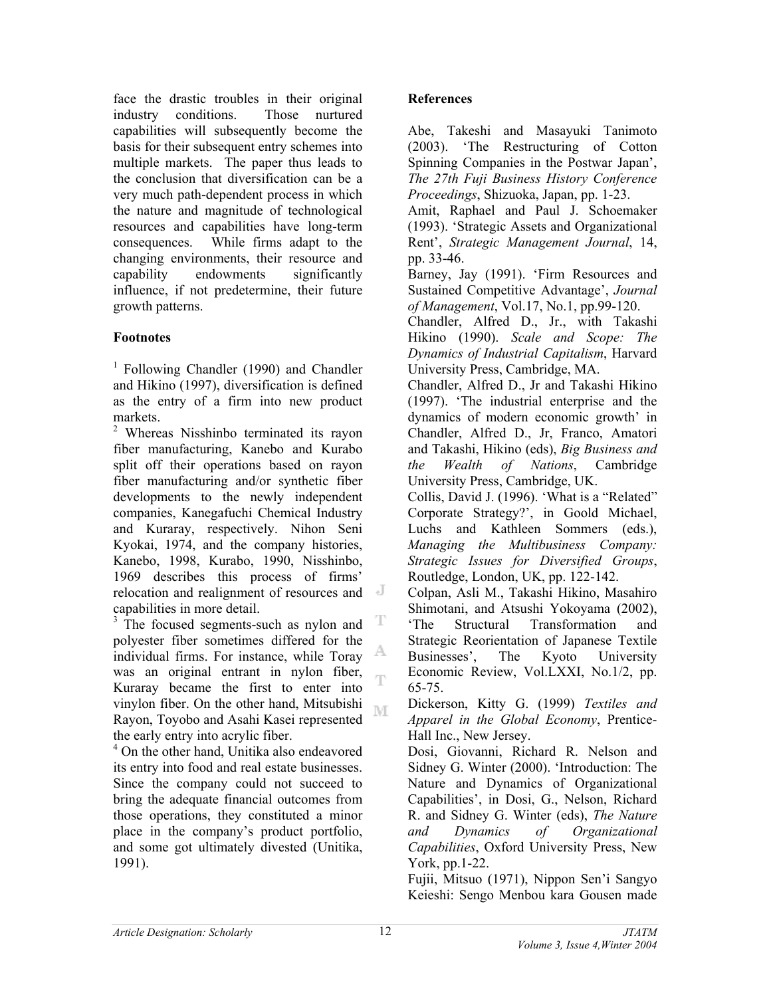face the drastic troubles in their original industry conditions. Those nurtured capabilities will subsequently become the basis for their subsequent entry schemes into multiple markets. The paper thus leads to the conclusion that diversification can be a very much path-dependent process in which the nature and magnitude of technological resources and capabilities have long-term consequences. While firms adapt to the changing environments, their resource and capability endowments significantly influence, if not predetermine, their future growth patterns.

## **Footnotes**

<sup>1</sup> Following Chandler (1990) and Chandler and Hikino (1997), diversification is defined as the entry of a firm into new product markets.

<sup>2</sup> Whereas Nisshinbo terminated its rayon fiber manufacturing, Kanebo and Kurabo split off their operations based on rayon fiber manufacturing and/or synthetic fiber developments to the newly independent companies, Kanegafuchi Chemical Industry and Kuraray, respectively. Nihon Seni Kyokai, 1974, and the company histories, Kanebo, 1998, Kurabo, 1990, Nisshinbo, 1969 describes this process of firms' relocation and realignment of resources and capabilities in more detail.

<sup>3</sup> The focused segments-such as nylon and T polyester fiber sometimes differed for the A individual firms. For instance, while Toray was an original entrant in nylon fiber, Ŧ Kuraray became the first to enter into vinylon fiber. On the other hand, Mitsubishi M Rayon, Toyobo and Asahi Kasei represented the early entry into acrylic fiber.

4 On the other hand, Unitika also endeavored its entry into food and real estate businesses. Since the company could not succeed to bring the adequate financial outcomes from those operations, they constituted a minor place in the company's product portfolio, and some got ultimately divested (Unitika, 1991).

# **References**

Abe, Takeshi and Masayuki Tanimoto (2003). 'The Restructuring of Cotton Spinning Companies in the Postwar Japan', *The 27th Fuji Business History Conference Proceedings*, Shizuoka, Japan, pp. 1-23.

Amit, Raphael and Paul J. Schoemaker (1993). 'Strategic Assets and Organizational Rent', *Strategic Management Journal*, 14, pp. 33-46.

Barney, Jay (1991). 'Firm Resources and Sustained Competitive Advantage', *Journal of Management*, Vol.17, No.1, pp.99-120.

Chandler, Alfred D., Jr., with Takashi Hikino (1990). *Scale and Scope: The Dynamics of Industrial Capitalism*, Harvard University Press, Cambridge, MA.

Chandler, Alfred D., Jr and Takashi Hikino (1997). 'The industrial enterprise and the dynamics of modern economic growth' in Chandler, Alfred D., Jr, Franco, Amatori and Takashi, Hikino (eds), *Big Business and the Wealth of Nations*, Cambridge University Press, Cambridge, UK.

Collis, David J. (1996). 'What is a "Related" Corporate Strategy?', in Goold Michael, Luchs and Kathleen Sommers (eds.), *Managing the Multibusiness Company: Strategic Issues for Diversified Groups*, Routledge, London, UK, pp. 122-142.

Colpan, Asli M., Takashi Hikino, Masahiro Shimotani, and Atsushi Yokoyama (2002), 'The Structural Transformation and Strategic Reorientation of Japanese Textile Businesses', The Kyoto University Economic Review, Vol.LXXI, No.1/2, pp. 65-75.

Dickerson, Kitty G. (1999) *Textiles and Apparel in the Global Economy*, Prentice-Hall Inc., New Jersey.

Dosi, Giovanni, Richard R. Nelson and Sidney G. Winter (2000). 'Introduction: The Nature and Dynamics of Organizational Capabilities', in Dosi, G., Nelson, Richard R. and Sidney G. Winter (eds), *The Nature and Dynamics of Organizational Capabilities*, Oxford University Press, New York, pp.1-22.

Fujii, Mitsuo (1971), Nippon Sen'i Sangyo Keieshi: Sengo Menbou kara Gousen made